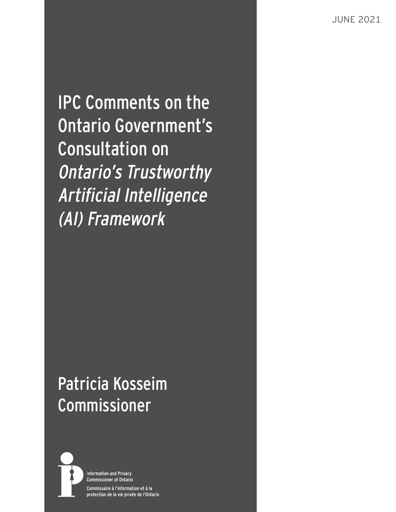JUNE 2021

IPC Comments on the Ontario Government's Consultation on Ontario's Trustworthy Artificial Intelligence (AI) Framework

# Patricia Kosseim Commissioner



**Information and Privacy Commissioner of Ontario** Commissaire à l'information et à la protection de la vie privée de l'Ontario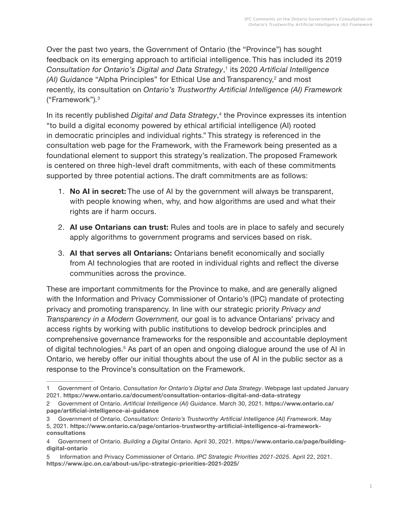Over the past two years, the Government of Ontario (the "Province") has sought feedback on its emerging approach to artificial intelligence. This has included its 2019 *Consultation for Ontario's Digital and Data Strategy*, 1 its 2020 *Artificial Intelligence (AI) Guidance* "Alpha Principles" for Ethical Use and Transparency,<sup>2</sup> and most recently, its consultation on *Ontario's Trustworthy Artificial Intelligence (AI) Framework* ("Framework")*.* 3

In its recently published *Digital and Data Strategy*, 4 the Province expresses its intention "to build a digital economy powered by ethical artificial intelligence (AI) rooted in democratic principles and individual rights." This strategy is referenced in the consultation web page for the Framework, with the Framework being presented as a foundational element to support this strategy's realization. The proposed Framework is centered on three high-level draft commitments, with each of these commitments supported by three potential actions. The draft commitments are as follows:

- 1. **No AI in secret:** The use of AI by the government will always be transparent, with people knowing when, why, and how algorithms are used and what their rights are if harm occurs.
- 2. **AI use Ontarians can trust:** Rules and tools are in place to safely and securely apply algorithms to government programs and services based on risk.
- 3. **AI that serves all Ontarians:** Ontarians benefit economically and socially from AI technologies that are rooted in individual rights and reflect the diverse communities across the province.

These are important commitments for the Province to make, and are generally aligned with the Information and Privacy Commissioner of Ontario's (IPC) mandate of protecting privacy and promoting transparency. In line with our strategic priority *Privacy and Transparency in a Modern Government,* our goal is to advance Ontarians' privacy and access rights by working with public institutions to develop bedrock principles and comprehensive governance frameworks for the responsible and accountable deployment of digital technologies.<sup>5</sup> As part of an open and ongoing dialogue around the use of AI in Ontario, we hereby offer our initial thoughts about the use of AI in the public sector as a response to the Province's consultation on the Framework.

<sup>1</sup> Government of Ontario. *Consultation for Ontario's Digital and Data Strategy*. Webpage last updated January 2021. **<https://www.ontario.ca/document/consultation-ontarios-digital-and-data-strategy>**

<sup>2</sup> Government of Ontario. *Artificial Intelligence (AI) Guidance*. March 30, 2021. **[https://www.ontario.ca/](https://www.ontario.ca/page/artificial-intelligence-ai-guidance) [page/artificial-intelligence-ai-guidance](https://www.ontario.ca/page/artificial-intelligence-ai-guidance)**

<sup>3</sup> Government of Ontario. *Consultation: Ontario's Trustworthy Artificial Intelligence (AI) Framework*. May 5, 2021. **[https://www.ontario.ca/page/ontarios-trustworthy-artificial-intelligence-ai-framework](https://www.ontario.ca/page/ontarios-trustworthy-artificial-intelligence-ai-framework-consultations)[consultations](https://www.ontario.ca/page/ontarios-trustworthy-artificial-intelligence-ai-framework-consultations)**

<sup>4</sup> Government of Ontario. *Building a Digital Ontario*. April 30, 2021. **[https://www.ontario.ca/page/building](https://www.ontario.ca/page/building-digital-ontario)[digital-ontario](https://www.ontario.ca/page/building-digital-ontario)**

<sup>5</sup> Information and Privacy Commissioner of Ontario. *IPC Strategic Priorities 2021-2025*. April 22, 2021. **<https://www.ipc.on.ca/about-us/ipc-strategic-priorities-2021-2025/>**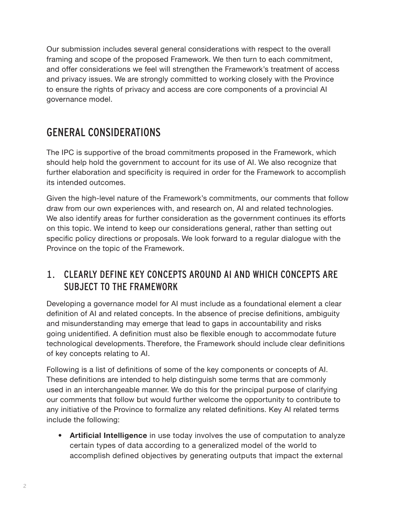Our submission includes several general considerations with respect to the overall framing and scope of the proposed Framework. We then turn to each commitment, and offer considerations we feel will strengthen the Framework's treatment of access and privacy issues. We are strongly committed to working closely with the Province to ensure the rights of privacy and access are core components of a provincial AI governance model.

## GENERAL CONSIDERATIONS

The IPC is supportive of the broad commitments proposed in the Framework, which should help hold the government to account for its use of AI. We also recognize that further elaboration and specificity is required in order for the Framework to accomplish its intended outcomes.

Given the high-level nature of the Framework's commitments, our comments that follow draw from our own experiences with, and research on, AI and related technologies. We also identify areas for further consideration as the government continues its efforts on this topic. We intend to keep our considerations general, rather than setting out specific policy directions or proposals. We look forward to a regular dialogue with the Province on the topic of the Framework.

#### <span id="page-3-0"></span>1. CLEARLY DEFINE KEY CONCEPTS AROUND AI AND WHICH CONCEPTS ARE SUBJECT TO THE FRAMEWORK

Developing a governance model for AI must include as a foundational element a clear definition of AI and related concepts. In the absence of precise definitions, ambiguity and misunderstanding may emerge that lead to gaps in accountability and risks going unidentified. A definition must also be flexible enough to accommodate future technological developments. Therefore, the Framework should include clear definitions of key concepts relating to AI.

Following is a list of definitions of some of the key components or concepts of AI. These definitions are intended to help distinguish some terms that are commonly used in an interchangeable manner. We do this for the principal purpose of clarifying our comments that follow but would further welcome the opportunity to contribute to any initiative of the Province to formalize any related definitions. Key AI related terms include the following:

**• Artificial Intelligence** in use today involves the use of computation to analyze certain types of data according to a generalized model of the world to accomplish defined objectives by generating outputs that impact the external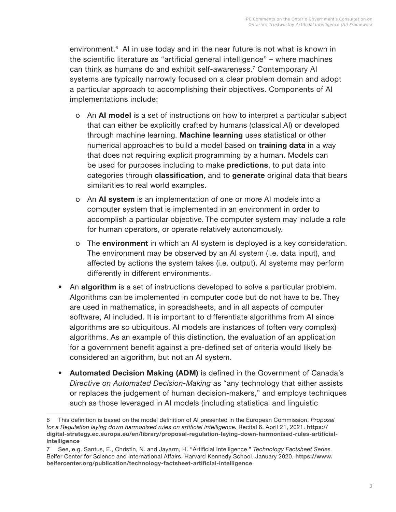environment.<sup>6</sup> AI in use today and in the near future is not what is known in the scientific literature as "artificial general intelligence" – where machines can think as humans do and exhibit self-awareness.<sup>7</sup> Contemporary AI systems are typically narrowly focused on a clear problem domain and adopt a particular approach to accomplishing their objectives. Components of AI implementations include:

- o An **AI model** is a set of instructions on how to interpret a particular subject that can either be explicitly crafted by humans (classical AI) or developed through machine learning. **Machine learning** uses statistical or other numerical approaches to build a model based on **training data** in a way that does not requiring explicit programming by a human. Models can be used for purposes including to make **predictions**, to put data into categories through **classification**, and to **generate** original data that bears similarities to real world examples.
- o An **AI system** is an implementation of one or more AI models into a computer system that is implemented in an environment in order to accomplish a particular objective. The computer system may include a role for human operators, or operate relatively autonomously.
- o The **environment** in which an AI system is deployed is a key consideration. The environment may be observed by an AI system (i.e. data input), and affected by actions the system takes (i.e. output). AI systems may perform differently in different environments.
- An **algorithm** is a set of instructions developed to solve a particular problem. Algorithms can be implemented in computer code but do not have to be. They are used in mathematics, in spreadsheets, and in all aspects of computer software, AI included. It is important to differentiate algorithms from AI since algorithms are so ubiquitous. AI models are instances of (often very complex) algorithms. As an example of this distinction, the evaluation of an application for a government benefit against a pre-defined set of criteria would likely be considered an algorithm, but not an AI system.
- **• Automated Decision Making (ADM)** is defined in the Government of Canada's *Directive on Automated Decision-Making* as "any technology that either assists or replaces the judgement of human decision-makers," and employs techniques such as those leveraged in AI models (including statistical and linguistic

<sup>6</sup> This definition is based on the model definition of AI presented in the European Commission. *Proposal for a Regulation laying down harmonised rules on artificial intelligence.* Recital 6. April 21, 2021. **[https://](https://digital-strategy.ec.europa.eu/en/library/proposal-regulation-laying-down-harmonised-rules-artificial-intelligence) [digital-strategy.ec.europa.eu/en/library/proposal-regulation-laying-down-harmonised-rules-artificial](https://digital-strategy.ec.europa.eu/en/library/proposal-regulation-laying-down-harmonised-rules-artificial-intelligence)[intelligence](https://digital-strategy.ec.europa.eu/en/library/proposal-regulation-laying-down-harmonised-rules-artificial-intelligence)**

<sup>7</sup> See, e.g. Santus, E., Christin, N. and Jayarm, H. "Artificial Intelligence." *Technology Factsheet Series.* Belfer Center for Science and International Affairs. Harvard Kennedy School. January 2020. **[https://www.](https://www.belfercenter.org/publication/technology-factsheet-artificial-intelligence) [belfercenter.org/publication/technology-factsheet-artificial-intelligence](https://www.belfercenter.org/publication/technology-factsheet-artificial-intelligence)**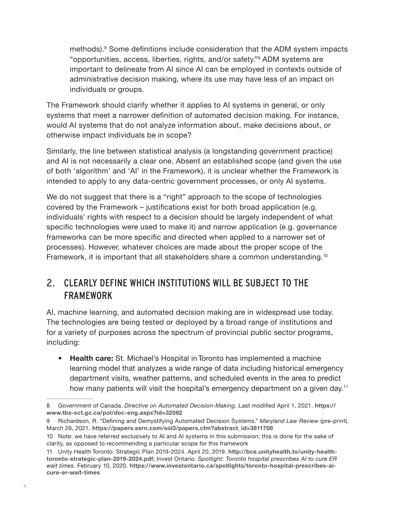methods).<sup>8</sup> Some definitions include consideration that the ADM system impacts "opportunities, access, liberties, rights, and/or safety."<sup>9</sup> ADM systems are important to delineate from AI since AI can be employed in contexts outside of administrative decision making, where its use may have less of an impact on individuals or groups.

The Framework should clarify whether it applies to AI systems in general, or only systems that meet a narrower definition of automated decision making. For instance, would AI systems that do not analyze information about, make decisions about, or otherwise impact individuals be in scope?

Similarly, the line between statistical analysis (a longstanding government practice) and AI is not necessarily a clear one. Absent an established scope (and given the use of both 'algorithm' and 'AI' in the Framework), it is unclear whether the Framework is intended to apply to any data-centric government processes, or only AI systems.

We do not suggest that there is a "right" approach to the scope of technologies covered by the Framework – justifications exist for both broad application (e.g. individuals' rights with respect to a decision should be largely independent of what specific technologies were used to make it) and narrow application (e.g. governance frameworks can be more specific and directed when applied to a narrower set of processes). However, whatever choices are made about the proper scope of the Framework, it is important that all stakeholders share a common understanding.10

#### 2. CLEARLY DEFINE WHICH INSTITUTIONS WILL BE SUBJECT TO THE FRAMEWORK

AI, machine learning, and automated decision making are in widespread use today. The technologies are being tested or deployed by a broad range of institutions and for a variety of purposes across the spectrum of provincial public sector programs, including:

**• Health care:** St. Michael's Hospital in Toronto has implemented a machine learning model that analyzes a wide range of data including historical emergency department visits, weather patterns, and scheduled events in the area to predict how many patients will visit the hospital's emergency department on a given day.<sup>11</sup>

<sup>8</sup> Government of Canada. *Directive on Automated Decision-Making*. Last modified April 1, 2021. **[https://](https://www.tbs-sct.gc.ca/pol/doc-eng.aspx?id=32592) [www.tbs-sct.gc.ca/pol/doc-eng.aspx?id=32592](https://www.tbs-sct.gc.ca/pol/doc-eng.aspx?id=32592)**

<sup>9</sup> Richardson, R. "Defining and Demystifying Automated Decision Systems." *Maryland Law Review* (pre-print). March 26, 2021. **[https://papers.ssrn.com/sol3/papers.cfm?abstract\\_id=3811708](https://papers.ssrn.com/sol3/papers.cfm?abstract_id=3811708)**

<sup>10</sup> Note: we have referred exclusively to AI and AI systems in this submission; this is done for the sake of clarity, as opposed to recommending a particular scope for this framework

<sup>11</sup> Unity Health Toronto. Strategic Plan 2019-2024. April 20, 2019. **[http://bce.unityhealth.to/unity-health](http://bce.unityhealth.to/unity-health-toronto-strategic-plan-2019-2024.pdf)[toronto-strategic-plan-2019-2024.pdf](http://bce.unityhealth.to/unity-health-toronto-strategic-plan-2019-2024.pdf)**; Invest Ontario. *Spotlight: Toronto hospital prescribes AI to cure ER wait times*. February 10, 2020. **[https://www.investontario.ca/spotlights/toronto-hospital-prescribes-ai](https://www.investontario.ca/spotlights/toronto-hospital-prescribes-ai-cure-er-wait-times)[cure-er-wait-times](https://www.investontario.ca/spotlights/toronto-hospital-prescribes-ai-cure-er-wait-times)**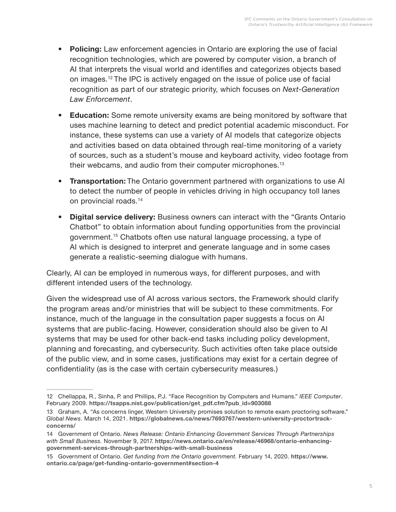- **• Policing:** Law enforcement agencies in Ontario are exploring the use of facial recognition technologies, which are powered by computer vision, a branch of AI that interprets the visual world and identifies and categorizes objects based on images.<sup>12</sup> The IPC is actively engaged on the issue of police use of facial recognition as part of our strategic priority, which focuses on *Next-Generation Law Enforcement*.
- **• Education:** Some remote university exams are being monitored by software that uses machine learning to detect and predict potential academic misconduct. For instance, these systems can use a variety of AI models that categorize objects and activities based on data obtained through real-time monitoring of a variety of sources, such as a student's mouse and keyboard activity, video footage from their webcams, and audio from their computer microphones.<sup>13</sup>
- **• Transportation:** The Ontario government partnered with organizations to use AI to detect the number of people in vehicles driving in high occupancy toll lanes on provincial roads.<sup>14</sup>
- **• Digital service delivery:** Business owners can interact with the "Grants Ontario Chatbot" to obtain information about funding opportunities from the provincial government.<sup>15</sup> Chatbots often use natural language processing, a type of AI which is designed to interpret and generate language and in some cases generate a realistic-seeming dialogue with humans.

Clearly, AI can be employed in numerous ways, for different purposes, and with different intended users of the technology.

Given the widespread use of AI across various sectors, the Framework should clarify the program areas and/or ministries that will be subject to these commitments. For instance, much of the language in the consultation paper suggests a focus on AI systems that are public-facing. However, consideration should also be given to AI systems that may be used for other back-end tasks including policy development, planning and forecasting, and cybersecurity. Such activities often take place outside of the public view, and in some cases, justifications may exist for a certain degree of confidentiality (as is the case with certain cybersecurity measures.)

<sup>12</sup> Chellappa, R., Sinha, P. and Phillips, P.J. "Face Recognition by Computers and Humans." *IEEE Computer*. February 2009. **[https://tsapps.nist.gov/publication/get\\_pdf.cfm?pub\\_id=903088](https://tsapps.nist.gov/publication/get_pdf.cfm?pub_id=903088)**

<sup>13</sup> Graham, A. "As concerns linger, Western University promises solution to remote exam proctoring software." *Global News*. March 14, 2021. **[https://globalnews.ca/news/7693767/western-university-proctortrack](https://globalnews.ca/news/7693767/western-university-proctortrack-concerns/)[concerns/](https://globalnews.ca/news/7693767/western-university-proctortrack-concerns/)**

<sup>14</sup> Government of Ontario. *News Release: Ontario Enhancing Government Services Through Partnerships with Small Business.* November 9, 2017. **[https://news.ontario.ca/en/release/46968/ontario-enhancing](https://news.ontario.ca/en/release/46968/ontario-enhancing-government-services-through-partnerships-with-small-business)[government-services-through-partnerships-with-small-business](https://news.ontario.ca/en/release/46968/ontario-enhancing-government-services-through-partnerships-with-small-business)**

<sup>15</sup> Government of Ontario. *Get funding from the Ontario government.* February 14, 2020. **https://www. ontario.ca/page/get-funding-ontario-government#section-4**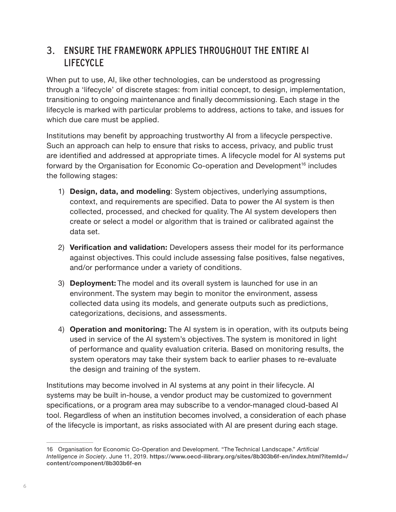#### <span id="page-7-0"></span>3. ENSURE THE FRAMEWORK APPLIES THROUGHOUT THE ENTIRE AI LIFECYCLE

When put to use, AI, like other technologies, can be understood as progressing through a 'lifecycle' of discrete stages: from initial concept, to design, implementation, transitioning to ongoing maintenance and finally decommissioning. Each stage in the lifecycle is marked with particular problems to address, actions to take, and issues for which due care must be applied.

Institutions may benefit by approaching trustworthy AI from a lifecycle perspective. Such an approach can help to ensure that risks to access, privacy, and public trust are identified and addressed at appropriate times. A lifecycle model for AI systems put forward by the Organisation for Economic Co-operation and Development<sup>16</sup> includes the following stages:

- 1) **Design, data, and modeling**: System objectives, underlying assumptions, context, and requirements are specified. Data to power the AI system is then collected, processed, and checked for quality. The AI system developers then create or select a model or algorithm that is trained or calibrated against the data set.
- 2) **Verification and validation:** Developers assess their model for its performance against objectives. This could include assessing false positives, false negatives, and/or performance under a variety of conditions.
- 3) **Deployment:** The model and its overall system is launched for use in an environment. The system may begin to monitor the environment, assess collected data using its models, and generate outputs such as predictions, categorizations, decisions, and assessments.
- 4) **Operation and monitoring:** The AI system is in operation, with its outputs being used in service of the AI system's objectives. The system is monitored in light of performance and quality evaluation criteria. Based on monitoring results, the system operators may take their system back to earlier phases to re-evaluate the design and training of the system.

Institutions may become involved in AI systems at any point in their lifecycle. AI systems may be built in-house, a vendor product may be customized to government specifications, or a program area may subscribe to a vendor-managed cloud-based AI tool. Regardless of when an institution becomes involved, a consideration of each phase of the lifecycle is important, as risks associated with AI are present during each stage.

<sup>16</sup> Organisation for Economic Co-Operation and Development. "The Technical Landscape." *Artificial Intelligence in Society*. June 11, 2019. **[https://www.oecd-ilibrary.org/sites/8b303b6f-en/index.html?itemId=/](https://www.oecd-ilibrary.org/sites/8b303b6f-en/index.html?itemId=/content/component/8b303b6f-en) [content/component/8b303b6f-en](https://www.oecd-ilibrary.org/sites/8b303b6f-en/index.html?itemId=/content/component/8b303b6f-en)**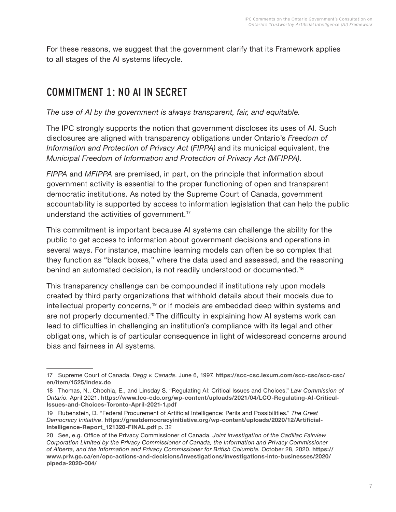For these reasons, we suggest that the government clarify that its Framework applies to all stages of the AI systems lifecycle.

## COMMITMENT 1: NO AI IN SECRET

*The use of AI by the government is always transparent, fair, and equitable.*

The IPC strongly supports the notion that government discloses its uses of AI. Such disclosures are aligned with transparency obligations under Ontario's *Freedom of Information and Protection of Privacy Act* (*FIPPA)* and its municipal equivalent, the *Municipal Freedom of Information and Protection of Privacy Act (MFIPPA)*.

*FIPPA* and *MFIPPA* are premised, in part, on the principle that information about government activity is essential to the proper functioning of open and transparent democratic institutions. As noted by the Supreme Court of Canada, government accountability is supported by access to information legislation that can help the public understand the activities of government.17

This commitment is important because AI systems can challenge the ability for the public to get access to information about government decisions and operations in several ways. For instance, machine learning models can often be so complex that they function as "black boxes," where the data used and assessed, and the reasoning behind an automated decision, is not readily understood or documented.<sup>18</sup>

This transparency challenge can be compounded if institutions rely upon models created by third party organizations that withhold details about their models due to intellectual property concerns,<sup>19</sup> or if models are embedded deep within systems and are not properly documented.<sup>20</sup> The difficulty in explaining how AI systems work can lead to difficulties in challenging an institution's compliance with its legal and other obligations, which is of particular consequence in light of widespread concerns around bias and fairness in AI systems.

<sup>17</sup> Supreme Court of Canada. *Dagg v. Canada*. June 6, 1997. **[https://scc-csc.lexum.com/scc-csc/scc-csc/](https://scc-csc.lexum.com/scc-csc/scc-csc/en/item/1525/index.do) [en/item/1525/index.do](https://scc-csc.lexum.com/scc-csc/scc-csc/en/item/1525/index.do)**

<sup>18</sup> Thomas, N., Chochia, E., and Linsday S. "Regulating AI: Critical Issues and Choices." *Law Commission of Ontario.* April 2021. **[https://www.lco-cdo.org/wp-content/uploads/2021/04/LCO-Regulating-AI-Critical-](https://www.lco-cdo.org/wp-content/uploads/2021/04/LCO-Regulating-AI-Critical-Issues-and-Choices-Toronto-April-2021-1.pdf)[Issues-and-Choices-Toronto-April-2021-1.pdf](https://www.lco-cdo.org/wp-content/uploads/2021/04/LCO-Regulating-AI-Critical-Issues-and-Choices-Toronto-April-2021-1.pdf)**

<sup>19</sup> Rubenstein, D. "Federal Procurement of Artificial Intelligence: Perils and Possibilities." *The Great Democracy Initiative*. **[https://greatdemocracyinitiative.org/wp-content/uploads/2020/12/Artificial-](https://greatdemocracyinitiative.org/wp-content/uploads/2020/12/Artificial-Intelligence-Report_121320-FINAL.pdf)[Intelligence-Report\\_121320-FINAL.pdf](https://greatdemocracyinitiative.org/wp-content/uploads/2020/12/Artificial-Intelligence-Report_121320-FINAL.pdf)** p. 32

<sup>20</sup> See, e.g. Office of the Privacy Commissioner of Canada. *Joint investigation of the Cadillac Fairview Corporation Limited by the Privacy Commissioner of Canada, the Information and Privacy Commissioner of Alberta, and the Information and Privacy Commissioner for British Columbia.* October 28, 2020. **[https://](https://www.priv.gc.ca/en/opc-actions-and-decisions/investigations/investigations-into-businesses/2020/pipeda-2020-004/) [www.priv.gc.ca/en/opc-actions-and-decisions/investigations/investigations-into-businesses/2020/](https://www.priv.gc.ca/en/opc-actions-and-decisions/investigations/investigations-into-businesses/2020/pipeda-2020-004/) [pipeda-2020-004/](https://www.priv.gc.ca/en/opc-actions-and-decisions/investigations/investigations-into-businesses/2020/pipeda-2020-004/)**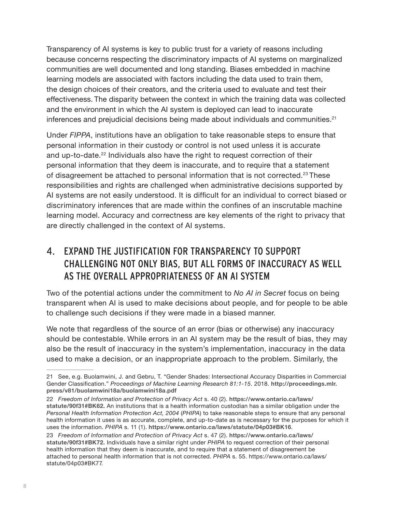Transparency of AI systems is key to public trust for a variety of reasons including because concerns respecting the discriminatory impacts of AI systems on marginalized communities are well documented and long standing. Biases embedded in machine learning models are associated with factors including the data used to train them, the design choices of their creators, and the criteria used to evaluate and test their effectiveness. The disparity between the context in which the training data was collected and the environment in which the AI system is deployed can lead to inaccurate inferences and prejudicial decisions being made about individuals and communities.<sup>21</sup>

Under *FIPPA*, institutions have an obligation to take reasonable steps to ensure that personal information in their custody or control is not used unless it is accurate and up-to-date.<sup>22</sup> Individuals also have the right to request correction of their personal information that they deem is inaccurate, and to require that a statement of disagreement be attached to personal information that is not corrected.23 These responsibilities and rights are challenged when administrative decisions supported by AI systems are not easily understood. It is difficult for an individual to correct biased or discriminatory inferences that are made within the confines of an inscrutable machine learning model. Accuracy and correctness are key elements of the right to privacy that are directly challenged in the context of AI systems.

#### <span id="page-9-0"></span>4. EXPAND THE JUSTIFICATION FOR TRANSPARENCY TO SUPPORT CHALLENGING NOT ONLY BIAS, BUT ALL FORMS OF INACCURACY AS WELL AS THE OVERALL APPROPRIATENESS OF AN AI SYSTEM

Two of the potential actions under the commitment to *No AI in Secret* focus on being transparent when AI is used to make decisions about people, and for people to be able to challenge such decisions if they were made in a biased manner.

We note that regardless of the source of an error (bias or otherwise) any inaccuracy should be contestable. While errors in an AI system may be the result of bias, they may also be the result of inaccuracy in the system's implementation, inaccuracy in the data used to make a decision, or an inappropriate approach to the problem. Similarly, the

<sup>21</sup> See, e.g. Buolamwini, J. and Gebru, T. "Gender Shades: Intersectional Accuracy Disparities in Commercial Gender Classification." *Proceedings of Machine Learning Research 81:1-15*. 2018. **[http://proceedings.mlr.](http://proceedings.mlr.press/v81/buolamwini18a/buolamwini18a.pdf) [press/v81/buolamwini18a/buolamwini18a.pdf](http://proceedings.mlr.press/v81/buolamwini18a/buolamwini18a.pdf)**

<sup>22</sup> *Freedom of Information and Protection of Privacy Act* s. 40 (2). **https://www.ontario.ca/laws/ statute/90f31#BK62.** An institutions that is a health information custodian has a similar obligation under the *Personal Health Information Protection Act, 2004* (*PHIPA*) to take reasonable steps to ensure that any personal health information it uses is as accurate, complete, and up-to-date as is necessary for the purposes for which it uses the information. *PHIPA* s. 11 (1). **https://www.ontario.ca/laws/statute/04p03#BK16**.

<sup>23</sup> *Freedom of Information and Protection of Privacy Act* s. 47 (2). **https://www.ontario.ca/laws/ statute/90f31#BK72.** Individuals have a similar right under *PHIPA* to request correction of their personal health information that they deem is inaccurate, and to require that a statement of disagreement be attached to personal health information that is not corrected. *PHIPA* s. 55. https://www.ontario.ca/laws/ statute/04p03#BK77.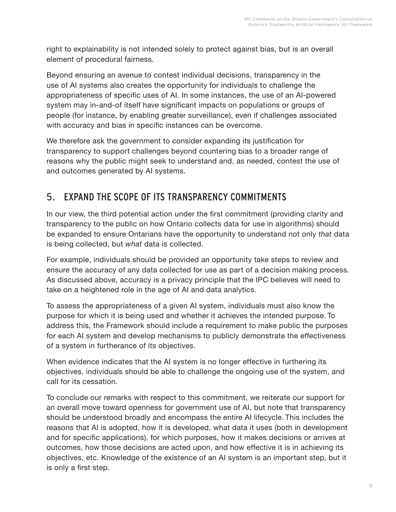right to explainability is not intended solely to protect against bias, but is an overall element of procedural fairness.

Beyond ensuring an avenue to contest individual decisions, transparency in the use of AI systems also creates the opportunity for individuals to challenge the appropriateness of specific uses of AI. In some instances, the use of an AI-powered system may in-and-of itself have significant impacts on populations or groups of people (for instance, by enabling greater surveillance), even if challenges associated with accuracy and bias in specific instances can be overcome.

We therefore ask the government to consider expanding its justification for transparency to support challenges beyond countering bias to a broader range of reasons why the public might seek to understand and, as needed, contest the use of and outcomes generated by AI systems.

#### 5. EXPAND THE SCOPE OF ITS TRANSPARENCY COMMITMENTS

In our view, the third potential action under the first commitment (providing clarity and transparency to the public on how Ontario collects data for use in algorithms) should be expanded to ensure Ontarians have the opportunity to understand not only *that* data is being collected, but *what* data is collected.

For example, individuals should be provided an opportunity take steps to review and ensure the accuracy of any data collected for use as part of a decision making process. As discussed above, accuracy is a privacy principle that the IPC believes will need to take on a heightened role in the age of AI and data analytics.

To assess the appropriateness of a given AI system, individuals must also know the purpose for which it is being used and whether it achieves the intended purpose. To address this, the Framework should include a requirement to make public the purposes for each AI system and develop mechanisms to publicly demonstrate the effectiveness of a system in furtherance of its objectives.

When evidence indicates that the AI system is no longer effective in furthering its objectives, individuals should be able to challenge the ongoing use of the system, and call for its cessation.

To conclude our remarks with respect to this commitment, we reiterate our support for an overall move toward openness for government use of AI, but note that transparency should be understood broadly and encompass the entire AI lifecycle. This includes the reasons that AI is adopted, how it is developed, what data it uses (both in development and for specific applications), for which purposes, how it makes decisions or arrives at outcomes, how those decisions are acted upon, and how effective it is in achieving its objectives, etc. Knowledge of the existence of an AI system is an important step, but it is only a first step.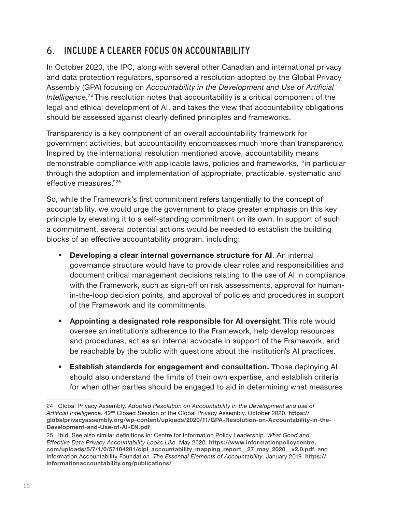### 6. INCLUDE A CLEARER FOCUS ON ACCOUNTABILITY

In October 2020, the IPC, along with several other Canadian and international privacy and data protection regulators, sponsored a resolution adopted by the Global Privacy Assembly (GPA) focusing on *Accountability in the Development and Use of Artificial Intelligence*. 24 This resolution notes that accountability is a critical component of the legal and ethical development of AI, and takes the view that accountability obligations should be assessed against clearly defined principles and frameworks.

Transparency is a key component of an overall accountability framework for government activities, but accountability encompasses much more than transparency. Inspired by the international resolution mentioned above, accountability means demonstrable compliance with applicable laws, policies and frameworks, "in particular through the adoption and implementation of appropriate, practicable, systematic and effective measures."25

So, while the Framework's first commitment refers tangentially to the concept of accountability, we would urge the government to place greater emphasis on this key principle by elevating it to a self-standing commitment on its own. In support of such a commitment, several potential actions would be needed to establish the building blocks of an effective accountability program, including:

- **• Developing a clear internal governance structure for AI**. An internal governance structure would have to provide clear roles and responsibilities and document critical management decisions relating to the use of AI in compliance with the Framework, such as sign-off on risk assessments, approval for humanin-the-loop decision points, and approval of policies and procedures in support of the Framework and its commitments.
- **• Appointing a designated role responsible for AI oversight**. This role would oversee an institution's adherence to the Framework, help develop resources and procedures, act as an internal advocate in support of the Framework, and be reachable by the public with questions about the institution's AI practices.
- **• Establish standards for engagement and consultation.** Those deploying AI should also understand the limits of their own expertise, and establish criteria for when other parties should be engaged to aid in determining what measures

<sup>24</sup> Global Privacy Assembly. *Adopted Resolution on Accountability in the Development and use of Artificial Intelligence*. 42nd Closed Session of the Global Privacy Assembly. October 2020. **[https://](https://globalprivacyassembly.org/wp-content/uploads/2020/11/GPA-Resolution-on-Accountability-in-the-Development-and-Use-of-AI-EN.pdf) [globalprivacyassembly.org/wp-content/uploads/2020/11/GPA-Resolution-on-Accountability-in-the-](https://globalprivacyassembly.org/wp-content/uploads/2020/11/GPA-Resolution-on-Accountability-in-the-Development-and-Use-of-AI-EN.pdf)[Development-and-Use-of-AI-EN.pdf](https://globalprivacyassembly.org/wp-content/uploads/2020/11/GPA-Resolution-on-Accountability-in-the-Development-and-Use-of-AI-EN.pdf)**

<sup>25</sup> Ibid. See also similar definitions in: Centre for Information Policy Leadership. *What Good and Effective Data Privacy Accountability Looks Like*. May 2020. **[https://www.informationpolicycentre.](https://www.informationpolicycentre.com/uploads/5/7/1/0/57104281/cipl_accountability_mapping_report__27_may_2020__v2.0.pdf) [com/uploads/5/7/1/0/57104281/cipl\\_accountability\\_mapping\\_report\\_\\_27\\_may\\_2020\\_\\_v2.0.pdf](https://www.informationpolicycentre.com/uploads/5/7/1/0/57104281/cipl_accountability_mapping_report__27_may_2020__v2.0.pdf)**, and Information Accountability Foundation. *The Essential Elements of Accountability*. January 2019. **[https://](https://informationaccountability.org/publications/) [informationaccountability.org/publications/](https://informationaccountability.org/publications/)**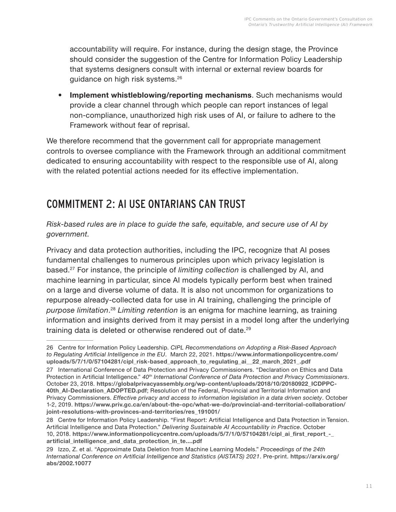accountability will require. For instance, during the design stage, the Province should consider the suggestion of the Centre for Information Policy Leadership that systems designers consult with internal or external review boards for guidance on high risk systems.<sup>26</sup>

**• Implement whistleblowing/reporting mechanisms**. Such mechanisms would provide a clear channel through which people can report instances of legal non-compliance, unauthorized high risk uses of AI, or failure to adhere to the Framework without fear of reprisal.

We therefore recommend that the government call for appropriate management controls to oversee compliance with the Framework through an additional commitment dedicated to ensuring accountability with respect to the responsible use of AI, along with the related potential actions needed for its effective implementation.

## COMMITMENT 2: AI USE ONTARIANS CAN TRUST

*Risk-based rules are in place to guide the safe, equitable, and secure use of AI by government.*

Privacy and data protection authorities, including the IPC, recognize that AI poses fundamental challenges to numerous principles upon which privacy legislation is based.27 For instance, the principle of *limiting collection* is challenged by AI, and machine learning in particular, since AI models typically perform best when trained on a large and diverse volume of data. It is also not uncommon for organizations to repurpose already-collected data for use in AI training, challenging the principle of *purpose limitation*. <sup>28</sup> *Limiting retention* is an enigma for machine learning, as training information and insights derived from it may persist in a model long after the underlying training data is deleted or otherwise rendered out of date.<sup>29</sup>

<sup>26</sup> Centre for Information Policy Leadership. *CIPL Recommendations on Adopting a Risk-Based Approach to Regulating Artificial Intelligence in the EU*. March 22, 2021. **[https://www.informationpolicycentre.com/](https://www.informationpolicycentre.com/uploads/5/7/1/0/57104281/cipl_risk-based_approach_to_regulating_ai__22_march_2021_.pdf) [uploads/5/7/1/0/57104281/cipl\\_risk-based\\_approach\\_to\\_regulating\\_ai\\_\\_22\\_march\\_2021\\_.pdf](https://www.informationpolicycentre.com/uploads/5/7/1/0/57104281/cipl_risk-based_approach_to_regulating_ai__22_march_2021_.pdf)**

<sup>27</sup> International Conference of Data Protection and Privacy Commissioners. "Declaration on Ethics and Data Protection in Artificial Intelligence." *40th International Conference of Data Protection and Privacy Commissioners*. October 23, 2018. **[https://globalprivacyassembly.org/wp-content/uploads/2018/10/20180922\\_ICDPPC-](https://globalprivacyassembly.org/wp-content/uploads/2018/10/20180922_ICDPPC-40th_AI-Declaration_ADOPTED.pdf)[40th\\_AI-Declaration\\_ADOPTED.pdf](https://globalprivacyassembly.org/wp-content/uploads/2018/10/20180922_ICDPPC-40th_AI-Declaration_ADOPTED.pdf)**; Resolution of the Federal, Provincial and Territorial Information and Privacy Commissioners. *Effective privacy and access to information legislation in a data driven society*. October 1-2, 2019. **[https://www.priv.gc.ca/en/about-the-opc/what-we-do/provincial-and-territorial-collaboration/](https://www.priv.gc.ca/en/about-the-opc/what-we-do/provincial-and-territorial-collaboration/joint-resolutions-with-provinces-and-territories/res_191001/) [joint-resolutions-with-provinces-and-territories/res\\_191001/](https://www.priv.gc.ca/en/about-the-opc/what-we-do/provincial-and-territorial-collaboration/joint-resolutions-with-provinces-and-territories/res_191001/)**

<sup>28</sup> Centre for Information Policy Leadership. "First Report: Artificial Intelligence and Data Protection in Tension. Artificial Intelligence and Data Protection." *Delivering Sustainable AI Accountability in Practice*. October 10, 2018. **[https://www.informationpolicycentre.com/uploads/5/7/1/0/57104281/cipl\\_ai\\_first\\_report\\_-\\_](https://www.informationpolicycentre.com/uploads/5/7/1/0/57104281/cipl_ai_first_report_-_artificial_intelligence_and_data_protection_in_te....pdf) [artificial\\_intelligence\\_and\\_data\\_protection\\_in\\_te....pdf](https://www.informationpolicycentre.com/uploads/5/7/1/0/57104281/cipl_ai_first_report_-_artificial_intelligence_and_data_protection_in_te....pdf)**

<sup>29</sup> Izzo, Z. et al. "Approximate Data Deletion from Machine Learning Models." *Proceedings of the 24th International Conference on Artificial Intelligence and Statistics (AISTATS) 2021*. Pre-print. **[https://arxiv.org/](https://arxiv.org/abs/2002.10077) [abs/2002.10077](https://arxiv.org/abs/2002.10077)**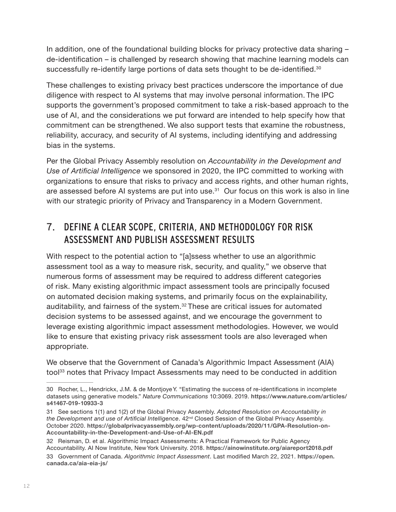In addition, one of the foundational building blocks for privacy protective data sharing – de-identification – is challenged by research showing that machine learning models can successfully re-identify large portions of data sets thought to be de-identified.<sup>30</sup>

These challenges to existing privacy best practices underscore the importance of due diligence with respect to AI systems that may involve personal information. The IPC supports the government's proposed commitment to take a risk-based approach to the use of AI, and the considerations we put forward are intended to help specify how that commitment can be strengthened. We also support tests that examine the robustness, reliability, accuracy, and security of AI systems, including identifying and addressing bias in the systems.

Per the Global Privacy Assembly resolution on *Accountability in the Development and Use of Artificial Intelligence* we sponsored in 2020, the IPC committed to working with organizations to ensure that risks to privacy and access rights, and other human rights, are assessed before AI systems are put into use.<sup>31</sup> Our focus on this work is also in line with our strategic priority of Privacy and Transparency in a Modern Government.

#### 7. DEFINE A CLEAR SCOPE, CRITERIA, AND METHODOLOGY FOR RISK ASSESSMENT AND PUBLISH ASSESSMENT RESULTS

With respect to the potential action to "[a]ssess whether to use an algorithmic assessment tool as a way to measure risk, security, and quality," we observe that numerous forms of assessment may be required to address different categories of risk. Many existing algorithmic impact assessment tools are principally focused on automated decision making systems, and primarily focus on the explainability, auditability, and fairness of the system.<sup>32</sup> These are critical issues for automated decision systems to be assessed against, and we encourage the government to leverage existing algorithmic impact assessment methodologies. However, we would like to ensure that existing privacy risk assessment tools are also leveraged when appropriate.

We observe that the Government of Canada's Algorithmic Impact Assessment (AIA) tool<sup>33</sup> notes that Privacy Impact Assessments may need to be conducted in addition

<sup>30</sup> Rocher, L., Hendrickx, J.M. & de Montjoye Y. "Estimating the success of re-identifications in incomplete datasets using generative models." *Nature Communications* 10:3069. 2019. **[https://www.nature.com/articles/](https://www.nature.com/articles/s41467-019-10933-3) [s41467-019-10933-3](https://www.nature.com/articles/s41467-019-10933-3)**

<sup>31</sup> See sections 1(1) and 1(2) of the Global Privacy Assembly. *Adopted Resolution on Accountability in the Development and use of Artificial Intelligence*. 42nd Closed Session of the Global Privacy Assembly. October 2020. **[https://globalprivacyassembly.org/wp-content/uploads/2020/11/GPA-Resolution-on-](https://globalprivacyassembly.org/wp-content/uploads/2020/11/GPA-Resolution-on-Accountability-in-the-Development-and-Use-of-AI-EN.pdf)[Accountability-in-the-Development-and-Use-of-AI-EN.pdf](https://globalprivacyassembly.org/wp-content/uploads/2020/11/GPA-Resolution-on-Accountability-in-the-Development-and-Use-of-AI-EN.pdf)**

<sup>32</sup> Reisman, D. et al. Algorithmic Impact Assessments: A Practical Framework for Public Agency Accountability. AI Now Institute, New York University. 2018. **<https://ainowinstitute.org/aiareport2018.pdf>**

<sup>33</sup> Government of Canada. *Algorithmic Impact Assessment*. Last modified March 22, 2021. **[https://open.](https://open.canada.ca/aia-eia-js/) [canada.ca/aia-eia-js/](https://open.canada.ca/aia-eia-js/)**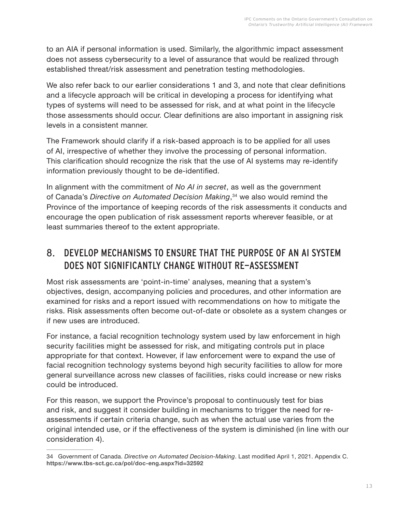to an AIA if personal information is used. Similarly, the algorithmic impact assessment does not assess cybersecurity to a level of assurance that would be realized through established threat/risk assessment and penetration testing methodologies.

We also refer back to our earlier considerations [1](#page-3-0) and [3](#page-7-0), and note that clear definitions and a lifecycle approach will be critical in developing a process for identifying what types of systems will need to be assessed for risk, and at what point in the lifecycle those assessments should occur. Clear definitions are also important in assigning risk levels in a consistent manner.

The Framework should clarify if a risk-based approach is to be applied for all uses of AI, irrespective of whether they involve the processing of personal information. This clarification should recognize the risk that the use of AI systems may re-identify information previously thought to be de-identified.

In alignment with the commitment of *No AI in secret*, as well as the government of Canada's *Directive on Automated Decision Making*, <sup>34</sup> we also would remind the Province of the importance of keeping records of the risk assessments it conducts and encourage the open publication of risk assessment reports wherever feasible, or at least summaries thereof to the extent appropriate.

#### 8. DEVELOP MECHANISMS TO ENSURE THAT THE PURPOSE OF AN AI SYSTEM DOES NOT SIGNIFICANTLY CHANGE WITHOUT RE-ASSESSMENT

Most risk assessments are 'point-in-time' analyses, meaning that a system's objectives, design, accompanying policies and procedures, and other information are examined for risks and a report issued with recommendations on how to mitigate the risks. Risk assessments often become out-of-date or obsolete as a system changes or if new uses are introduced.

For instance, a facial recognition technology system used by law enforcement in high security facilities might be assessed for risk, and mitigating controls put in place appropriate for that context. However, if law enforcement were to expand the use of facial recognition technology systems beyond high security facilities to allow for more general surveillance across new classes of facilities, risks could increase or new risks could be introduced.

For this reason, we support the Province's proposal to continuously test for bias and risk, and suggest it consider building in mechanisms to trigger the need for reassessments if certain criteria change, such as when the actual use varies from the original intended use, or if the effectiveness of the system is diminished (in line with our consideration [4](#page-9-0)).

<sup>34</sup> Government of Canada. *Directive on Automated Decision-Making*. Last modified April 1, 2021. Appendix C. **<https://www.tbs-sct.gc.ca/pol/doc-eng.aspx?id=32592>**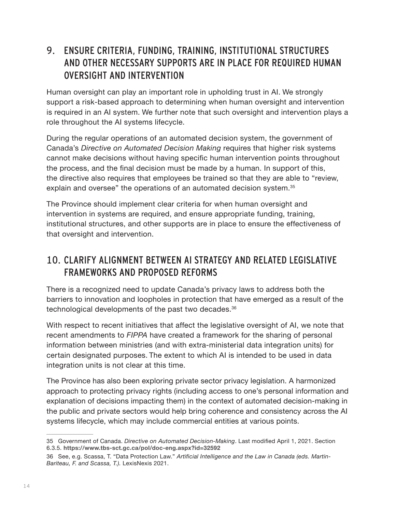#### 9. ENSURE CRITERIA, FUNDING, TRAINING, INSTITUTIONAL STRUCTURES AND OTHER NECESSARY SUPPORTS ARE IN PLACE FOR REQUIRED HUMAN OVERSIGHT AND INTERVENTION

Human oversight can play an important role in upholding trust in AI. We strongly support a risk-based approach to determining when human oversight and intervention is required in an AI system. We further note that such oversight and intervention plays a role throughout the AI systems lifecycle.

During the regular operations of an automated decision system, the government of Canada's *Directive on Automated Decision Making* requires that higher risk systems cannot make decisions without having specific human intervention points throughout the process, and the final decision must be made by a human. In support of this, the directive also requires that employees be trained so that they are able to "review, explain and oversee" the operations of an automated decision system.<sup>35</sup>

The Province should implement clear criteria for when human oversight and intervention in systems are required, and ensure appropriate funding, training, institutional structures, and other supports are in place to ensure the effectiveness of that oversight and intervention.

#### 10. CLARIFY ALIGNMENT BETWEEN AI STRATEGY AND RELATED LEGISLATIVE FRAMEWORKS AND PROPOSED REFORMS

There is a recognized need to update Canada's privacy laws to address both the barriers to innovation and loopholes in protection that have emerged as a result of the technological developments of the past two decades.<sup>36</sup>

With respect to recent initiatives that affect the legislative oversight of AI, we note that recent amendments to *FIPPA* have created a framework for the sharing of personal information between ministries (and with extra-ministerial data integration units) for certain designated purposes. The extent to which AI is intended to be used in data integration units is not clear at this time.

The Province has also been exploring private sector privacy legislation. A harmonized approach to protecting privacy rights (including access to one's personal information and explanation of decisions impacting them) in the context of automated decision-making in the public and private sectors would help bring coherence and consistency across the AI systems lifecycle, which may include commercial entities at various points.

<sup>35</sup> Government of Canada. *Directive on Automated Decision-Making*. Last modified April 1, 2021. Section 6.3.5. **<https://www.tbs-sct.gc.ca/pol/doc-eng.aspx?id=32592>**

<sup>36</sup> See, e.g. Scassa, T. "Data Protection Law." *Artificial Intelligence and the Law in Canada (eds. Martin-Bariteau, F. and Scassa, T.).* LexisNexis 2021.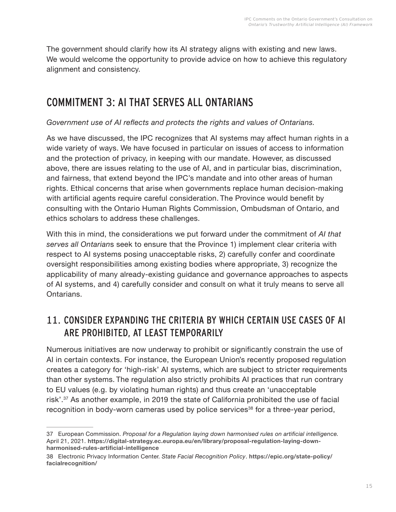The government should clarify how its AI strategy aligns with existing and new laws. We would welcome the opportunity to provide advice on how to achieve this regulatory alignment and consistency.

## COMMITMENT 3: AI THAT SERVES ALL ONTARIANS

#### *Government use of AI reflects and protects the rights and values of Ontarians.*

As we have discussed, the IPC recognizes that AI systems may affect human rights in a wide variety of ways. We have focused in particular on issues of access to information and the protection of privacy, in keeping with our mandate. However, as discussed above, there are issues relating to the use of AI, and in particular bias, discrimination, and fairness, that extend beyond the IPC's mandate and into other areas of human rights. Ethical concerns that arise when governments replace human decision-making with artificial agents require careful consideration. The Province would benefit by consulting with the Ontario Human Rights Commission, Ombudsman of Ontario, and ethics scholars to address these challenges.

With this in mind, the considerations we put forward under the commitment of *AI that serves all Ontarian*s seek to ensure that the Province 1) implement clear criteria with respect to AI systems posing unacceptable risks, 2) carefully confer and coordinate oversight responsibilities among existing bodies where appropriate, 3) recognize the applicability of many already-existing guidance and governance approaches to aspects of AI systems, and 4) carefully consider and consult on what it truly means to serve all Ontarians.

#### 11. CONSIDER EXPANDING THE CRITERIA BY WHICH CERTAIN USE CASES OF AI ARE PROHIBITED, AT LEAST TEMPORARILY

Numerous initiatives are now underway to prohibit or significantly constrain the use of AI in certain contexts. For instance, the European Union's recently proposed regulation creates a category for 'high-risk' AI systems, which are subject to stricter requirements than other systems. The regulation also strictly prohibits AI practices that run contrary to EU values (e.g. by violating human rights) and thus create an 'unacceptable risk'.<sup>37</sup> As another example, in 2019 the state of California prohibited the use of facial recognition in body-worn cameras used by police services<sup>38</sup> for a three-year period,

<sup>37</sup> European Commission. *Proposal for a Regulation laying down harmonised rules on artificial intelligence.*  April 21, 2021. **[https://digital-strategy.ec.europa.eu/en/library/proposal-regulation-laying-down](https://digital-strategy.ec.europa.eu/en/library/proposal-regulation-laying-down-harmonised-rules-artificial-intelligence)[harmonised-rules-artificial-intelligence](https://digital-strategy.ec.europa.eu/en/library/proposal-regulation-laying-down-harmonised-rules-artificial-intelligence)**

<sup>38</sup> Electronic Privacy Information Center. *State Facial Recognition Policy*. **[https://epic.org/state-policy/](https://epic.org/state-policy/facialrecognition/) [facialrecognition/](https://epic.org/state-policy/facialrecognition/)**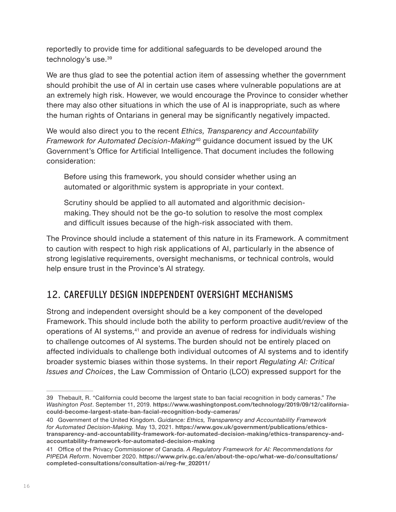reportedly to provide time for additional safeguards to be developed around the technology's use.39

We are thus glad to see the potential action item of assessing whether the government should prohibit the use of AI in certain use cases where vulnerable populations are at an extremely high risk. However, we would encourage the Province to consider whether there may also other situations in which the use of AI is inappropriate, such as where the human rights of Ontarians in general may be significantly negatively impacted.

We would also direct you to the recent *Ethics, Transparency and Accountability Framework for Automated Decision-Making*40 guidance document issued by the UK Government's Office for Artificial Intelligence. That document includes the following consideration:

Before using this framework, you should consider whether using an automated or algorithmic system is appropriate in your context.

Scrutiny should be applied to all automated and algorithmic decisionmaking. They should not be the go-to solution to resolve the most complex and difficult issues because of the high-risk associated with them.

The Province should include a statement of this nature in its Framework. A commitment to caution with respect to high risk applications of AI, particularly in the absence of strong legislative requirements, oversight mechanisms, or technical controls, would help ensure trust in the Province's AI strategy.

#### 12. CAREFULLY DESIGN INDEPENDENT OVERSIGHT MECHANISMS

Strong and independent oversight should be a key component of the developed Framework. This should include both the ability to perform proactive audit/review of the operations of AI systems,<sup>41</sup> and provide an avenue of redress for individuals wishing to challenge outcomes of AI systems. The burden should not be entirely placed on affected individuals to challenge both individual outcomes of AI systems and to identify broader systemic biases within those systems. In their report *Regulating AI: Critical Issues and Choices*, the Law Commission of Ontario (LCO) expressed support for the

<sup>39</sup> Thebault, R. "California could become the largest state to ban facial recognition in body cameras." *The Washington Post*. September 11, 2019. **[https://www.washingtonpost.com/technology/2019/09/12/california](https://www.washingtonpost.com/technology/2019/09/12/california-could-become-largest-state-ban-facial-recognition-body-cameras/)[could-become-largest-state-ban-facial-recognition-body-cameras/](https://www.washingtonpost.com/technology/2019/09/12/california-could-become-largest-state-ban-facial-recognition-body-cameras/)**

<sup>40</sup> Government of the United Kingdom. *Guidance: Ethics, Transparency and Accountability Framework for Automated Decision-Making.* May 13, 2021. **[https://www.gov.uk/government/publications/ethics](https://www.gov.uk/government/publications/ethics-transparency-and-accountability-framework-for-automated-decision-making/ethics-transparency-and-accountability-framework-for-automated-decision-making)[transparency-and-accountability-framework-for-automated-decision-making/ethics-transparency-and](https://www.gov.uk/government/publications/ethics-transparency-and-accountability-framework-for-automated-decision-making/ethics-transparency-and-accountability-framework-for-automated-decision-making)[accountability-framework-for-automated-decision-making](https://www.gov.uk/government/publications/ethics-transparency-and-accountability-framework-for-automated-decision-making/ethics-transparency-and-accountability-framework-for-automated-decision-making)**

<sup>41</sup> Office of the Privacy Commissioner of Canada. *A Regulatory Framework for AI: Recommendations for PIPEDA Reform*. November 2020. **[https://www.priv.gc.ca/en/about-the-opc/what-we-do/consultations/](https://www.priv.gc.ca/en/about-the-opc/what-we-do/consultations/completed-consultations/consultation-ai/reg-fw_202011/) [completed-consultations/consultation-ai/reg-fw\\_202011/](https://www.priv.gc.ca/en/about-the-opc/what-we-do/consultations/completed-consultations/consultation-ai/reg-fw_202011/)**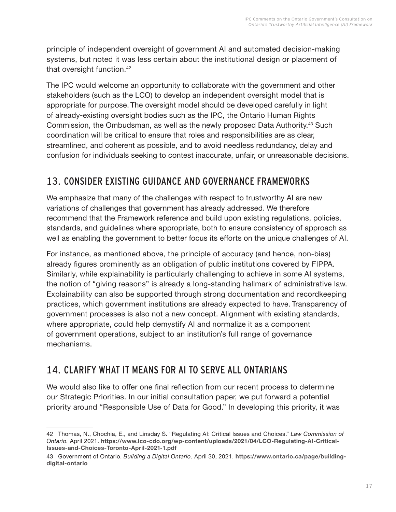principle of independent oversight of government AI and automated decision-making systems, but noted it was less certain about the institutional design or placement of that oversight function.42

The IPC would welcome an opportunity to collaborate with the government and other stakeholders (such as the LCO) to develop an independent oversight model that is appropriate for purpose. The oversight model should be developed carefully in light of already-existing oversight bodies such as the IPC, the Ontario Human Rights Commission, the Ombudsman, as well as the newly proposed Data Authority.43 Such coordination will be critical to ensure that roles and responsibilities are as clear, streamlined, and coherent as possible, and to avoid needless redundancy, delay and confusion for individuals seeking to contest inaccurate, unfair, or unreasonable decisions.

#### 13. CONSIDER EXISTING GUIDANCE AND GOVERNANCE FRAMEWORKS

We emphasize that many of the challenges with respect to trustworthy AI are new variations of challenges that government has already addressed. We therefore recommend that the Framework reference and build upon existing regulations, policies, standards, and guidelines where appropriate, both to ensure consistency of approach as well as enabling the government to better focus its efforts on the unique challenges of AI.

For instance, as mentioned above, the principle of accuracy (and hence, non-bias) already figures prominently as an obligation of public institutions covered by FIPPA. Similarly, while explainability is particularly challenging to achieve in some AI systems, the notion of "giving reasons" is already a long-standing hallmark of administrative law. Explainability can also be supported through strong documentation and recordkeeping practices, which government institutions are already expected to have. Transparency of government processes is also not a new concept. Alignment with existing standards, where appropriate, could help demystify AI and normalize it as a component of government operations, subject to an institution's full range of governance mechanisms.

#### 14. CLARIFY WHAT IT MEANS FOR AI TO SERVE ALL ONTARIANS

We would also like to offer one final reflection from our recent process to determine our Strategic Priorities. In our initial consultation paper, we put forward a potential priority around "Responsible Use of Data for Good." In developing this priority, it was

<sup>42</sup> Thomas, N., Chochia, E., and Linsday S. "Regulating AI: Critical Issues and Choices." *Law Commission of Ontario.* April 2021. **[https://www.lco-cdo.org/wp-content/uploads/2021/04/LCO-Regulating-AI-Critical-](https://www.lco-cdo.org/wp-content/uploads/2021/04/LCO-Regulating-AI-Critical-Issues-and-Choices-Toronto-April-2021-1.pdf)[Issues-and-Choices-Toronto-April-2021-1.pdf](https://www.lco-cdo.org/wp-content/uploads/2021/04/LCO-Regulating-AI-Critical-Issues-and-Choices-Toronto-April-2021-1.pdf)**

<sup>43</sup> Government of Ontario. *Building a Digital Ontario*. April 30, 2021. **[https://www.ontario.ca/page/building](https://www.ontario.ca/page/building-digital-ontario)[digital-ontario](https://www.ontario.ca/page/building-digital-ontario)**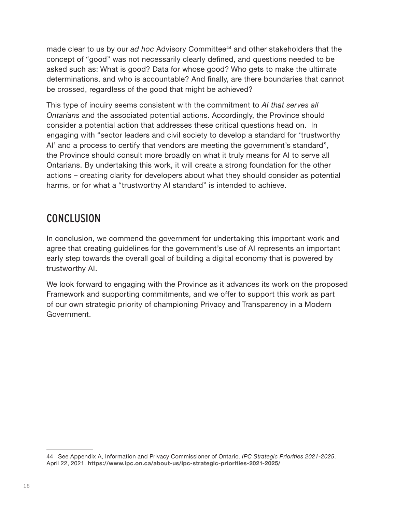made clear to us by our *ad hoc* Advisory Committee44 and other stakeholders that the concept of "good" was not necessarily clearly defined, and questions needed to be asked such as: What is good? Data for whose good? Who gets to make the ultimate determinations, and who is accountable? And finally, are there boundaries that cannot be crossed, regardless of the good that might be achieved?

This type of inquiry seems consistent with the commitment to *AI that serves all Ontarians* and the associated potential actions. Accordingly, the Province should consider a potential action that addresses these critical questions head on. In engaging with "sector leaders and civil society to develop a standard for 'trustworthy AI' and a process to certify that vendors are meeting the government's standard", the Province should consult more broadly on what it truly means for AI to serve all Ontarians. By undertaking this work, it will create a strong foundation for the other actions – creating clarity for developers about what they should consider as potential harms, or for what a "trustworthy AI standard" is intended to achieve.

## CONCLUSION

In conclusion, we commend the government for undertaking this important work and agree that creating guidelines for the government's use of AI represents an important early step towards the overall goal of building a digital economy that is powered by trustworthy AI.

We look forward to engaging with the Province as it advances its work on the proposed Framework and supporting commitments, and we offer to support this work as part of our own strategic priority of championing Privacy and Transparency in a Modern Government.

<sup>44</sup> See Appendix A, Information and Privacy Commissioner of Ontario. *IPC Strategic Priorities 2021-2025*. April 22, 2021. **<https://www.ipc.on.ca/about-us/ipc-strategic-priorities-2021-2025/>**